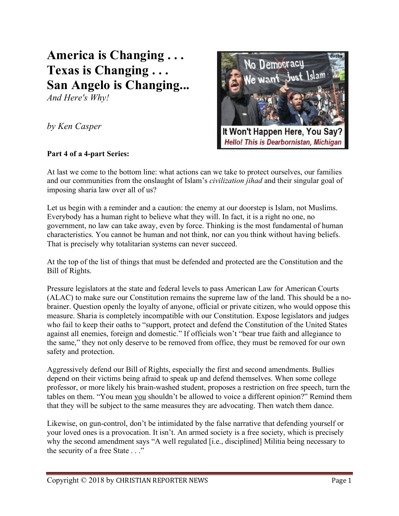# **America is Changing . . . Texas is Changing . . . San Angelo is Changing...**

*And Here's Why!*

*by Ken Casper*

## **Part 4 of a 4-part Series:**



At last we come to the bottom line: what actions can we take to protect ourselves, our families and our communities from the onslaught of Islam's *civilization jihad* and their singular goal of imposing sharia law over all of us?

Let us begin with a reminder and a caution: the enemy at our doorstep is Islam, not Muslims. Everybody has a human right to believe what they will. In fact, it is a right no one, no government, no law can take away, even by force. Thinking is the most fundamental of human characteristics. You cannot be human and not think, nor can you think without having beliefs. That is precisely why totalitarian systems can never succeed.

At the top of the list of things that must be defended and protected are the Constitution and the Bill of Rights.

Pressure legislators at the state and federal levels to pass American Law for American Courts (ALAC) to make sure our Constitution remains the supreme law of the land. This should be a nobrainer. Question openly the loyalty of anyone, official or private citizen, who would oppose this measure. Sharia is completely incompatible with our Constitution. Expose legislators and judges who fail to keep their oaths to "support, protect and defend the Constitution of the United States against all enemies, foreign and domestic." If officials won't "bear true faith and allegiance to the same," they not only deserve to be removed from office, they must be removed for our own safety and protection.

Aggressively defend our Bill of Rights, especially the first and second amendments. Bullies depend on their victims being afraid to speak up and defend themselves. When some college professor, or more likely his brain-washed student, proposes a restriction on free speech, turn the tables on them. "You mean you shouldn't be allowed to voice a different opinion?" Remind them that they will be subject to the same measures they are advocating. Then watch them dance.

Likewise, on gun-control, don't be intimidated by the false narrative that defending yourself or your loved ones is a provocation. It isn't. An armed society is a free society, which is precisely why the second amendment says "A well regulated [i.e., disciplined] Militia being necessary to the security of a free State . . ."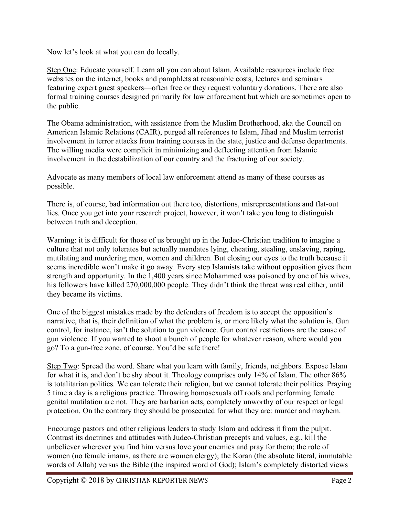Now let's look at what you can do locally.

Step One: Educate yourself. Learn all you can about Islam. Available resources include free websites on the internet, books and pamphlets at reasonable costs, lectures and seminars featuring expert guest speakers—often free or they request voluntary donations. There are also formal training courses designed primarily for law enforcement but which are sometimes open to the public.

The Obama administration, with assistance from the Muslim Brotherhood, aka the Council on American Islamic Relations (CAIR), purged all references to Islam, Jihad and Muslim terrorist involvement in terror attacks from training courses in the state, justice and defense departments. The willing media were complicit in minimizing and deflecting attention from Islamic involvement in the destabilization of our country and the fracturing of our society.

Advocate as many members of local law enforcement attend as many of these courses as possible.

There is, of course, bad information out there too, distortions, misrepresentations and flat-out lies. Once you get into your research project, however, it won't take you long to distinguish between truth and deception.

Warning: it is difficult for those of us brought up in the Judeo-Christian tradition to imagine a culture that not only tolerates but actually mandates lying, cheating, stealing, enslaving, raping, mutilating and murdering men, women and children. But closing our eyes to the truth because it seems incredible won't make it go away. Every step Islamists take without opposition gives them strength and opportunity. In the 1,400 years since Mohammed was poisoned by one of his wives, his followers have killed 270,000,000 people. They didn't think the threat was real either, until they became its victims.

One of the biggest mistakes made by the defenders of freedom is to accept the opposition's narrative, that is, their definition of what the problem is, or more likely what the solution is. Gun control, for instance, isn't the solution to gun violence. Gun control restrictions are the cause of gun violence. If you wanted to shoot a bunch of people for whatever reason, where would you go? To a gun-free zone, of course. You'd be safe there!

Step Two: Spread the word. Share what you learn with family, friends, neighbors. Expose Islam for what it is, and don't be shy about it. Theology comprises only 14% of Islam. The other 86% is totalitarian politics. We can tolerate their religion, but we cannot tolerate their politics. Praying 5 time a day is a religious practice. Throwing homosexuals off roofs and performing female genital mutilation are not. They are barbarian acts, completely unworthy of our respect or legal protection. On the contrary they should be prosecuted for what they are: murder and mayhem.

Encourage pastors and other religious leaders to study Islam and address it from the pulpit. Contrast its doctrines and attitudes with Judeo-Christian precepts and values, e.g., kill the unbeliever wherever you find him versus love your enemies and pray for them; the role of women (no female imams, as there are women clergy); the Koran (the absolute literal, immutable words of Allah) versus the Bible (the inspired word of God); Islam's completely distorted views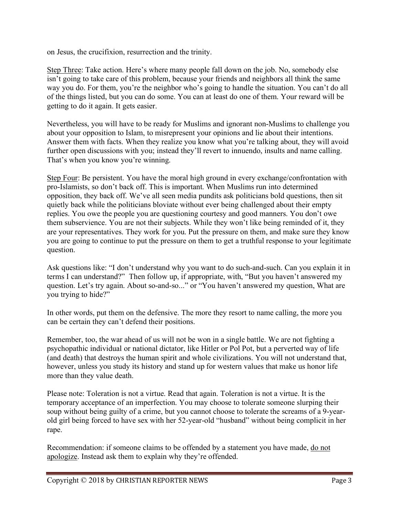on Jesus, the crucifixion, resurrection and the trinity.

Step Three: Take action. Here's where many people fall down on the job. No, somebody else isn't going to take care of this problem, because your friends and neighbors all think the same way you do. For them, you're the neighbor who's going to handle the situation. You can't do all of the things listed, but you can do some. You can at least do one of them. Your reward will be getting to do it again. It gets easier.

Nevertheless, you will have to be ready for Muslims and ignorant non-Muslims to challenge you about your opposition to Islam, to misrepresent your opinions and lie about their intentions. Answer them with facts. When they realize you know what you're talking about, they will avoid further open discussions with you; instead they'll revert to innuendo, insults and name calling. That's when you know you're winning.

Step Four: Be persistent. You have the moral high ground in every exchange/confrontation with pro-Islamists, so don't back off. This is important. When Muslims run into determined opposition, they back off. We've all seen media pundits ask politicians bold questions, then sit quietly back while the politicians bloviate without ever being challenged about their empty replies. You owe the people you are questioning courtesy and good manners. You don't owe them subservience. You are not their subjects. While they won't like being reminded of it, they are your representatives. They work for you. Put the pressure on them, and make sure they know you are going to continue to put the pressure on them to get a truthful response to your legitimate question.

Ask questions like: "I don't understand why you want to do such-and-such. Can you explain it in terms I can understand?" Then follow up, if appropriate, with, "But you haven't answered my question. Let's try again. About so-and-so..." or "You haven't answered my question, What are you trying to hide?"

In other words, put them on the defensive. The more they resort to name calling, the more you can be certain they can't defend their positions.

Remember, too, the war ahead of us will not be won in a single battle. We are not fighting a psychopathic individual or national dictator, like Hitler or Pol Pot, but a perverted way of life (and death) that destroys the human spirit and whole civilizations. You will not understand that, however, unless you study its history and stand up for western values that make us honor life more than they value death.

Please note: Toleration is not a virtue. Read that again. Toleration is not a virtue. It is the temporary acceptance of an imperfection. You may choose to tolerate someone slurping their soup without being guilty of a crime, but you cannot choose to tolerate the screams of a 9-yearold girl being forced to have sex with her 52-year-old "husband" without being complicit in her rape.

Recommendation: if someone claims to be offended by a statement you have made, do not apologize. Instead ask them to explain why they're offended.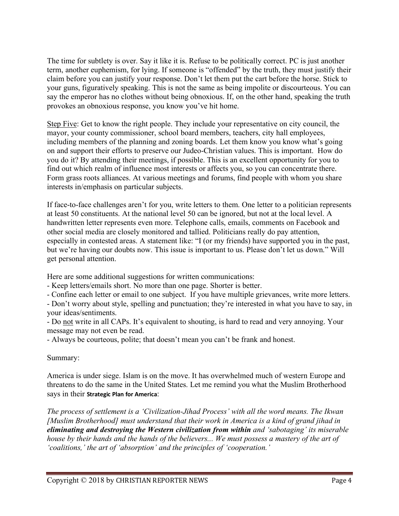The time for subtlety is over. Say it like it is. Refuse to be politically correct. PC is just another term, another euphemism, for lying. If someone is "offended" by the truth, they must justify their claim before you can justify your response. Don't let them put the cart before the horse. Stick to your guns, figuratively speaking. This is not the same as being impolite or discourteous. You can say the emperor has no clothes without being obnoxious. If, on the other hand, speaking the truth provokes an obnoxious response, you know you've hit home.

Step Five: Get to know the right people. They include your representative on city council, the mayor, your county commissioner, school board members, teachers, city hall employees, including members of the planning and zoning boards. Let them know you know what's going on and support their efforts to preserve our Judeo-Christian values. This is important. How do you do it? By attending their meetings, if possible. This is an excellent opportunity for you to find out which realm of influence most interests or affects you, so you can concentrate there. Form grass roots alliances. At various meetings and forums, find people with whom you share interests in/emphasis on particular subjects.

If face-to-face challenges aren't for you, write letters to them. One letter to a politician represents at least 50 constituents. At the national level 50 can be ignored, but not at the local level. A handwritten letter represents even more. Telephone calls, emails, comments on Facebook and other social media are closely monitored and tallied. Politicians really do pay attention, especially in contested areas. A statement like: "I (or my friends) have supported you in the past, but we're having our doubts now. This issue is important to us. Please don't let us down." Will get personal attention.

Here are some additional suggestions for written communications:

- Keep letters/emails short. No more than one page. Shorter is better.

- Confine each letter or email to one subject. If you have multiple grievances, write more letters.

- Don't worry about style, spelling and punctuation; they're interested in what you have to say, in your ideas/sentiments.

- Do not write in all CAPs. It's equivalent to shouting, is hard to read and very annoying. Your message may not even be read.

- Always be courteous, polite; that doesn't mean you can't be frank and honest.

### Summary:

America is under siege. Islam is on the move. It has overwhelmed much of western Europe and threatens to do the same in the United States. Let me remind you what the Muslim Brotherhood says in their **Strategic Plan for America**:

*The process of settlement is a 'Civilization-Jihad Process' with all the word means. The Ikwan [Muslim Brotherhood] must understand that their work in America is a kind of grand jihad in eliminating and destroying the Western civilization from within and 'sabotaging' its miserable house by their hands and the hands of the believers... We must possess a mastery of the art of 'coalitions,' the art of 'absorption' and the principles of 'cooperation.'*